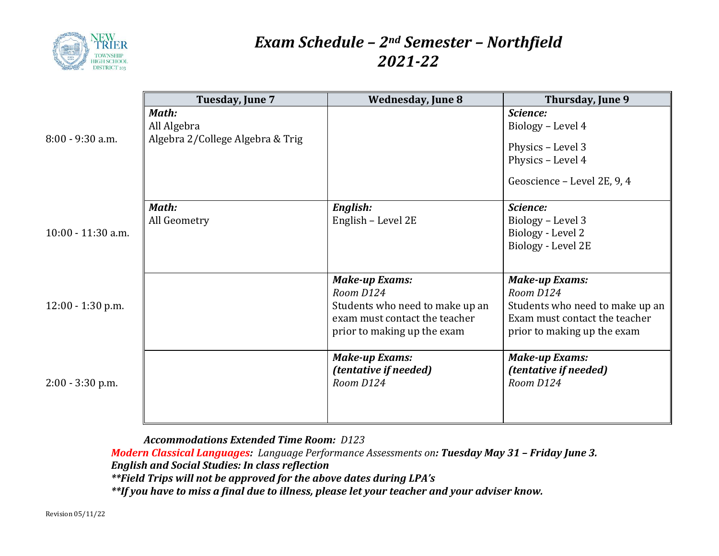

## *Exam Schedule – 2nd Semester – Northfield 2021-22*

|                     | Tuesday, June 7                                          | <b>Wednesday, June 8</b>                                                                                                              | Thursday, June 9                                                                                                                      |
|---------------------|----------------------------------------------------------|---------------------------------------------------------------------------------------------------------------------------------------|---------------------------------------------------------------------------------------------------------------------------------------|
| $8:00 - 9:30$ a.m.  | Math:<br>All Algebra<br>Algebra 2/College Algebra & Trig |                                                                                                                                       | Science:<br>Biology - Level 4<br>Physics - Level 3<br>Physics - Level 4<br>Geoscience - Level 2E, 9, 4                                |
| 10:00 - 11:30 a.m.  | Math:<br>All Geometry                                    | <b>English:</b><br>English - Level 2E                                                                                                 | Science:<br>Biology - Level 3<br>Biology - Level 2<br>Biology - Level 2E                                                              |
| $12:00 - 1:30$ p.m. |                                                          | <b>Make-up Exams:</b><br>Room D124<br>Students who need to make up an<br>exam must contact the teacher<br>prior to making up the exam | <b>Make-up Exams:</b><br>Room D124<br>Students who need to make up an<br>Exam must contact the teacher<br>prior to making up the exam |
| $2:00 - 3:30$ p.m.  |                                                          | <b>Make-up Exams:</b><br><i>(tentative if needed)</i><br>Room D124                                                                    | <b>Make-up Exams:</b><br><i>(tentative if needed)</i><br>Room D124                                                                    |

*Accommodations Extended Time Room: D123*

*Modern Classical Languages: Language Performance Assessments on: Tuesday May 31 – Friday June 3. English and Social Studies: In class reflection*

*\*\*Field Trips will not be approved for the above dates during LPA's*

*\*\*If you have to miss a final due to illness, please let your teacher and your adviser know.*